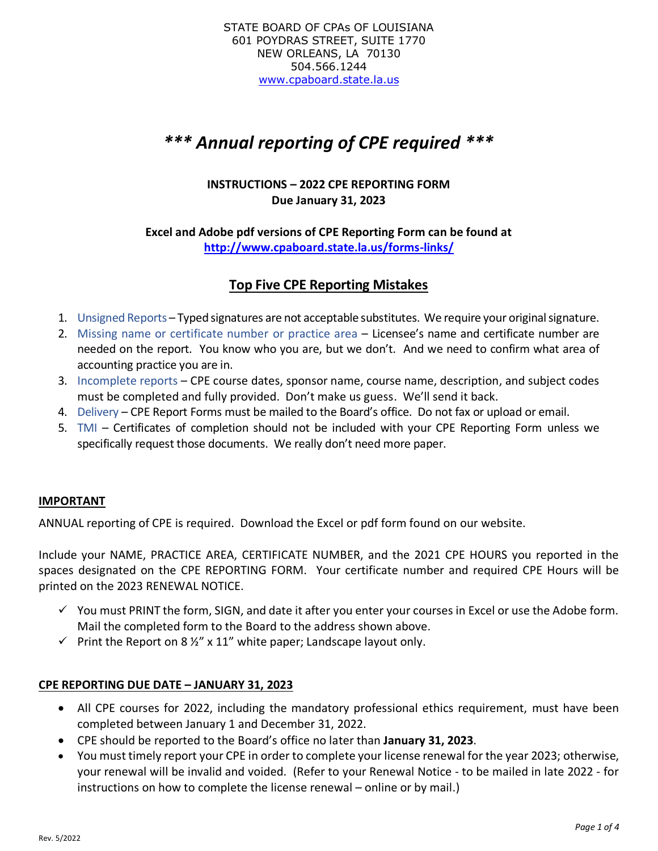# *\*\*\* Annual reporting of CPE required \*\*\**

# **INSTRUCTIONS – 2022 CPE REPORTING FORM Due January 31, 2023**

## **Excel and Adobe pdf versions of CPE Reporting Form can be found at <http://www.cpaboard.state.la.us/forms-links/>**

# **Top Five CPE Reporting Mistakes**

- 1. Unsigned Reports Typed signatures are not acceptable substitutes. We require your original signature.
- 2. Missing name or certificate number or practice area Licensee's name and certificate number are needed on the report. You know who you are, but we don't. And we need to confirm what area of accounting practice you are in.
- 3. Incomplete reports CPE course dates, sponsor name, course name, description, and subject codes must be completed and fully provided. Don't make us guess. We'll send it back.
- 4. Delivery CPE Report Forms must be mailed to the Board's office. Do not fax or upload or email.
- 5. TMI Certificates of completion should not be included with your CPE Reporting Form unless we specifically request those documents. We really don't need more paper.

## **IMPORTANT**

ANNUAL reporting of CPE is required. Download the Excel or pdf form found on our website.

Include your NAME, PRACTICE AREA, CERTIFICATE NUMBER, and the 2021 CPE HOURS you reported in the spaces designated on the CPE REPORTING FORM. Your certificate number and required CPE Hours will be printed on the 2023 RENEWAL NOTICE.

- $\checkmark$  You must PRINT the form, SIGN, and date it after you enter your courses in Excel or use the Adobe form. Mail the completed form to the Board to the address shown above.
- $\checkmark$  Print the Report on 8 ½" x 11" white paper; Landscape layout only.

## **CPE REPORTING DUE DATE – JANUARY 31, 2023**

- All CPE courses for 2022, including the mandatory professional ethics requirement, must have been completed between January 1 and December 31, 2022.
- CPE should be reported to the Board's office no later than **January 31, 2023**.
- You must timely report your CPE in order to complete your license renewal for the year 2023; otherwise, your renewal will be invalid and voided. (Refer to your Renewal Notice - to be mailed in late 2022 - for instructions on how to complete the license renewal – online or by mail.)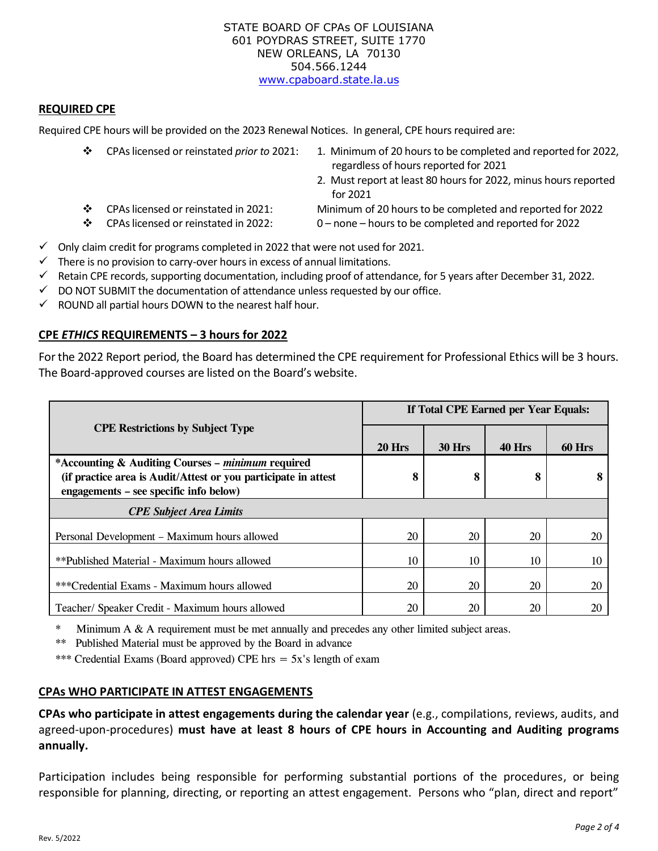#### STATE BOARD OF CPAs OF LOUISIANA 601 POYDRAS STREET, SUITE 1770 NEW ORLEANS, LA 70130 504.566.1244 [www.cpaboard.state.la.us](http://www.cpaboard.state.la.us/)

#### **REQUIRED CPE**

Required CPE hours will be provided on the 2023 Renewal Notices. In general, CPE hours required are:

- ❖ CPAs licensed or reinstated *prior to* 2021: 1. Minimum of 20 hours to be completed and reported for 2022, regardless of hours reported for 2021 2. Must report at least 80 hours for 2022, minus hours reported for 2021 ❖ CPAs licensed or reinstated in 2021: Minimum of 20 hours to be completed and reported for 2022
- ❖ CPAs licensed or reinstated in 2022: 0 none hours to be completed and reported for 2022

- $\checkmark$  Only claim credit for programs completed in 2022 that were not used for 2021.
- $\checkmark$  There is no provision to carry-over hours in excess of annual limitations.
- ✓ Retain CPE records, supporting documentation, including proof of attendance, for 5 years after December 31, 2022.
- $\checkmark$  DO NOT SUBMIT the documentation of attendance unless requested by our office.
- $\checkmark$  ROUND all partial hours DOWN to the nearest half hour.

## **CPE** *ETHICS* **REQUIREMENTS – 3 hours for 2022**

For the 2022 Report period, the Board has determined the CPE requirement for Professional Ethics will be 3 hours. The Board-approved courses are listed on the Board's website.

|                                                                                                                                                               | If Total CPE Earned per Year Equals: |               |               |        |
|---------------------------------------------------------------------------------------------------------------------------------------------------------------|--------------------------------------|---------------|---------------|--------|
| <b>CPE Restrictions by Subject Type</b>                                                                                                                       | <b>20 Hrs</b>                        | <b>30 Hrs</b> | <b>40 Hrs</b> | 60 Hrs |
| *Accounting & Auditing Courses – minimum required<br>(if practice area is Audit/Attest or you participate in attest<br>engagements – see specific info below) | 8                                    | 8             | 8             | 8      |
| <b>CPE Subject Area Limits</b>                                                                                                                                |                                      |               |               |        |
| Personal Development – Maximum hours allowed                                                                                                                  | 20                                   | 20            | 20            | 20     |
| **Published Material - Maximum hours allowed                                                                                                                  | 10                                   | 10            | 10            | 10     |
| ***Credential Exams - Maximum hours allowed                                                                                                                   | 20                                   | 20            | 20            | 20     |
| Teacher/ Speaker Credit - Maximum hours allowed                                                                                                               | 20                                   | 20            | 20            | 20     |

\* Minimum A & A requirement must be met annually and precedes any other limited subject areas.

\*\* Published Material must be approved by the Board in advance

\*\*\* Credential Exams (Board approved) CPE hrs  $=$  5x's length of exam

## **CPAs WHO PARTICIPATE IN ATTEST ENGAGEMENTS**

**CPAs who participate in attest engagements during the calendar year** (e.g., compilations, reviews, audits, and agreed-upon-procedures) **must have at least 8 hours of CPE hours in Accounting and Auditing programs annually.** 

Participation includes being responsible for performing substantial portions of the procedures, or being responsible for planning, directing, or reporting an attest engagement. Persons who "plan, direct and report"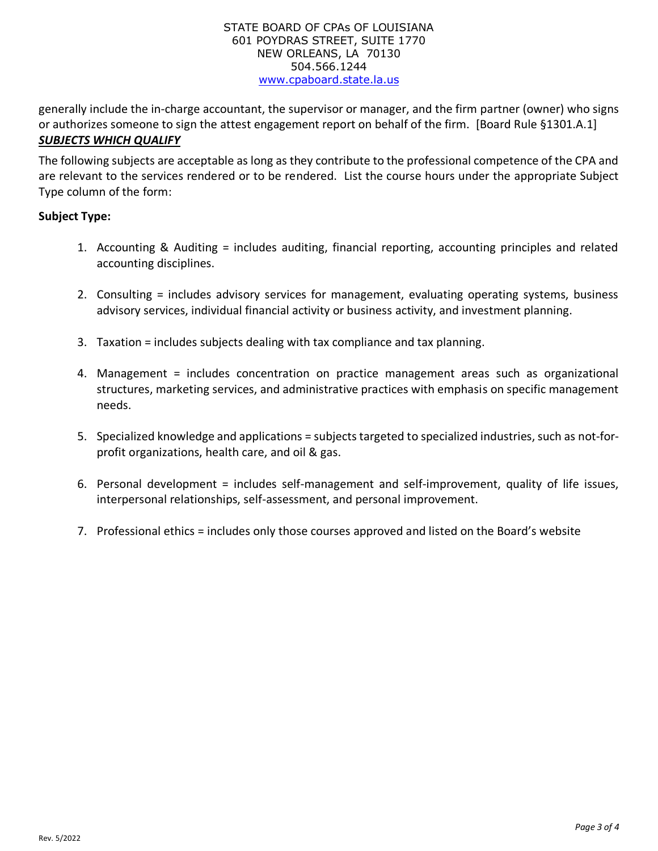#### STATE BOARD OF CPAs OF LOUISIANA 601 POYDRAS STREET, SUITE 1770 NEW ORLEANS, LA 70130 504.566.1244 [www.cpaboard.state.la.us](http://www.cpaboard.state.la.us/)

generally include the in-charge accountant, the supervisor or manager, and the firm partner (owner) who signs or authorizes someone to sign the attest engagement report on behalf of the firm. [Board Rule §1301.A.1] *SUBJECTS WHICH QUALIFY*

The following subjects are acceptable as long as they contribute to the professional competence of the CPA and are relevant to the services rendered or to be rendered. List the course hours under the appropriate Subject Type column of the form:

## **Subject Type:**

- 1. Accounting & Auditing = includes auditing, financial reporting, accounting principles and related accounting disciplines.
- 2. Consulting = includes advisory services for management, evaluating operating systems, business advisory services, individual financial activity or business activity, and investment planning.
- 3. Taxation = includes subjects dealing with tax compliance and tax planning.
- 4. Management = includes concentration on practice management areas such as organizational structures, marketing services, and administrative practices with emphasis on specific management needs.
- 5. Specialized knowledge and applications = subjects targeted to specialized industries, such as not-forprofit organizations, health care, and oil & gas.
- 6. Personal development = includes self-management and self-improvement, quality of life issues, interpersonal relationships, self-assessment, and personal improvement.
- 7. Professional ethics = includes only those courses approved and listed on the Board's website